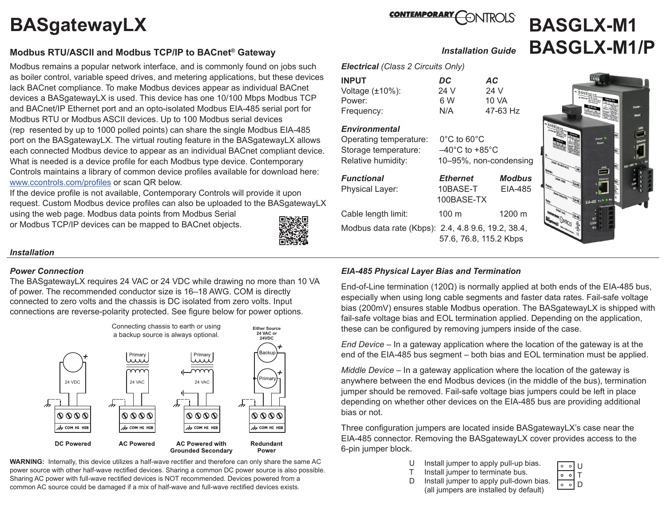# **BASgatewayLX**

## **Modbus RTU/ASCII and Modbus TCP/IP to BACnet® Gateway**

 Modbus remains a popular network interface, and is commonly found on jobs such as boiler control, variable speed drives, and metering applications, but these devices lack BACnet compliance. To make Modbus devices appear as individual BACnet devices a BASgatewayLX is used. This device has one 10/100 Mbps Modbus TCP and BACnet/IP Ethernet port and an opto-isolated Modbus EIA-485 serial port for Modbus RTU or Modbus ASCII devices. Up to 100 Modbus serial devices (rep resented by up to 1000 polled points) can share the single Modbus EIA-485 port on the BASgatewayLX. The virtual routing feature in the BASgatewayLX allows each connected Modbus device to appear as an individual BACnet compliant device. What is needed is a device profile for each Modbus type device. Contemporary Controls maintains a library of common device profiles available for download here: [www.ccontrols.com/profiles](https://www.ccontrols.com/support/basgatewaylx_profiles.htm) or scan QR below.

If the device profile is not available, Contemporary Controls will provide it upon request. Custom Modbus device profiles can also be uploaded to the BASgatewayLX

using the web page. Modbus data points from Modbus Serial or Modbus TCP/IP devices can be mapped to BACnet objects.



#### *Installation*

#### *Power Connection*

The BASgatewayLX requires 24 VAC or 24 VDC while drawing no more than 10 VA of power. The recommended conductor size is 16–18 AWG. COM is directly connected to zero volts and the chassis is DC isolated from zero volts. Input connections are reverse-polarity protected. See figure below for power options.



**WARNING:** Internally, this device utilizes a half-wave rectifier and therefore can only share the same AC power source with other half-wave rectified devices. Sharing a common DC power source is also possible. Sharing AC power with full-wave rectified devices is NOT recommended. Devices powered from a common AC source could be damaged if a mix of half-wave and full-wave rectified devices exists.



# **BASGLX-M1** *Installation Guide* **BASGLX-M1/P**

*Electrical (Class 2 Circuits Only)*

| <b>INPUT</b>           | DC   | AC.      |
|------------------------|------|----------|
| Voltage $(\pm 10\%)$ : | 24 V | 24 V     |
| Power:                 | 6 W  | 10 VA    |
| Frequency:             | N/A  | 47-63 Hz |

# *Environmental*

Operating temperature: 0°C to 60°C Storage temperature: –40°C to +85°C Relative humidity: 10–95%, non-condensing *Functional Ethernet Modbus* Physical Layer: 10BASE-T EIA-485 100BASE-TX Cable length limit: 100 m 1200 m Modbus data rate (Kbps): 2.4, 4.8 9.6, 19.2, 38.4, 57.6, 76.8, 115.2 Kbps



## *EIA-485 Physical Layer Bias and Termination*

End-of-Line termination (120Ω) is normally applied at both ends of the EIA-485 bus, especially when using long cable segments and faster data rates. Fail-safe voltage bias (200mV) ensures stable Modbus operation. The BASgatewayLX is shipped with fail-safe voltage bias and EOL termination applied. Depending on the application, these can be configured by removing jumpers inside of the case.

*End Device* – In a gateway application where the location of the gateway is at the end of the EIA-485 bus segment – both bias and EOL termination must be applied.

*Middle Device* – In a gateway application where the location of the gateway is anywhere between the end Modbus devices (in the middle of the bus), termination jumper should be removed. Fail-safe voltage bias jumpers could be left in place depending on whether other devices on the EIA-485 bus are providing additional bias or not.

Three configuration jumpers are located inside BASgatewayLX's case near the EIA-485 connector. Removing the BASgatewayLX cover provides access to the 6-pin jumper block.

- U Install jumper to apply pull-up bias.<br>
T Install jumper to terminate bus.
- Install jumper to terminate bus.
- D Install jumper to apply pull-down bias. (all jumpers are installed by default)